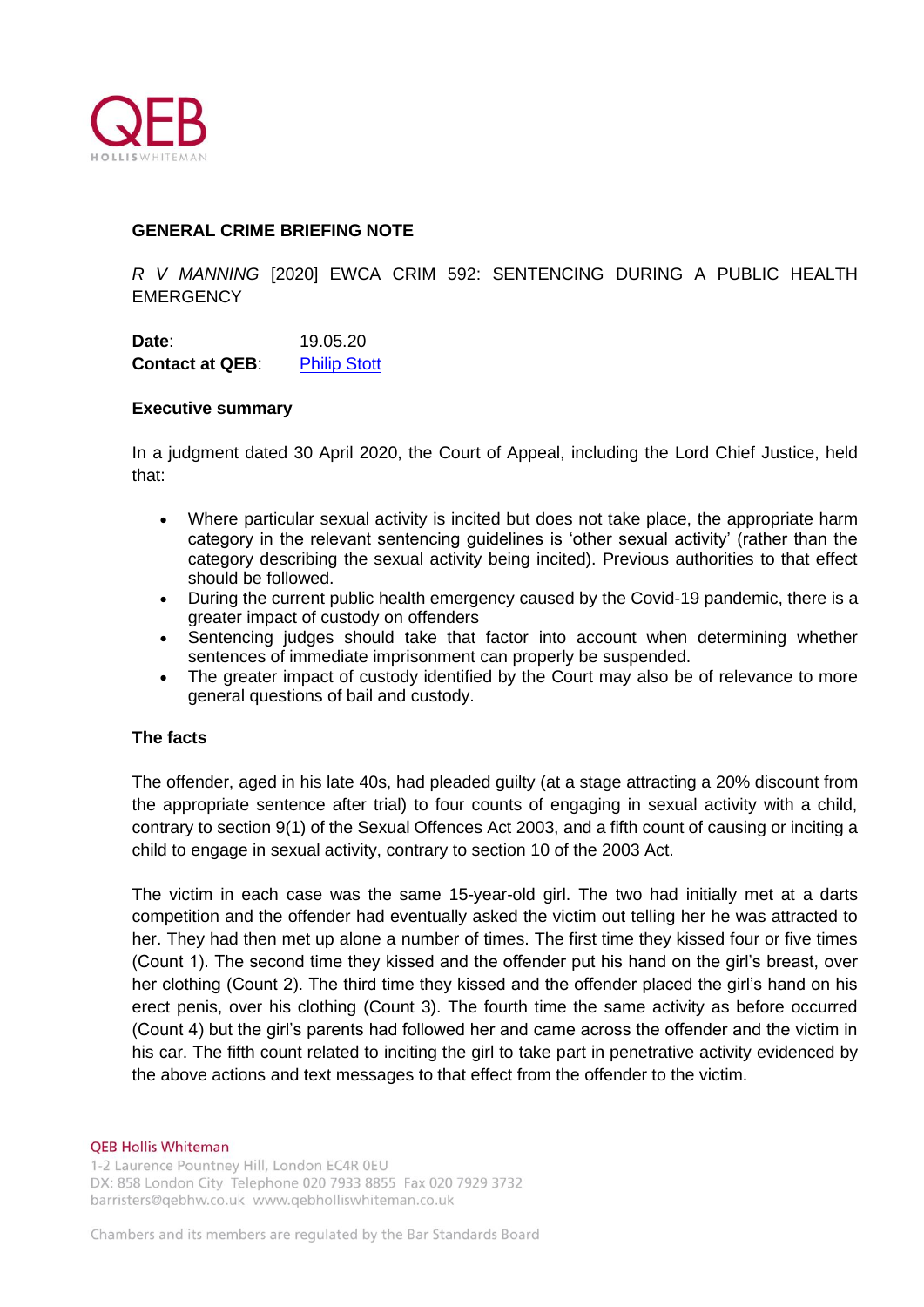

# **GENERAL CRIME BRIEFING NOTE**

*R V MANNING* [2020] EWCA CRIM 592: SENTENCING DURING A PUBLIC HEALTH **EMERGENCY** 

**Date**: 19.05.20 **Contact at QEB:** [Philip Stott](https://www.qebholliswhiteman.co.uk/site/people/profile/philip.stott)

### **Executive summary**

In a judgment dated 30 April 2020, the Court of Appeal, including the Lord Chief Justice, held that:

- Where particular sexual activity is incited but does not take place, the appropriate harm category in the relevant sentencing guidelines is 'other sexual activity' (rather than the category describing the sexual activity being incited). Previous authorities to that effect should be followed.
- During the current public health emergency caused by the Covid-19 pandemic, there is a greater impact of custody on offenders
- Sentencing judges should take that factor into account when determining whether sentences of immediate imprisonment can properly be suspended.
- The greater impact of custody identified by the Court may also be of relevance to more general questions of bail and custody.

## **The facts**

The offender, aged in his late 40s, had pleaded guilty (at a stage attracting a 20% discount from the appropriate sentence after trial) to four counts of engaging in sexual activity with a child, contrary to section 9(1) of the Sexual Offences Act 2003, and a fifth count of causing or inciting a child to engage in sexual activity, contrary to section 10 of the 2003 Act.

The victim in each case was the same 15-year-old girl. The two had initially met at a darts competition and the offender had eventually asked the victim out telling her he was attracted to her. They had then met up alone a number of times. The first time they kissed four or five times (Count 1). The second time they kissed and the offender put his hand on the girl's breast, over her clothing (Count 2). The third time they kissed and the offender placed the girl's hand on his erect penis, over his clothing (Count 3). The fourth time the same activity as before occurred (Count 4) but the girl's parents had followed her and came across the offender and the victim in his car. The fifth count related to inciting the girl to take part in penetrative activity evidenced by the above actions and text messages to that effect from the offender to the victim.

### **QEB Hollis Whiteman**

1-2 Laurence Pountney Hill, London EC4R 0EU DX: 858 London City Telephone 020 7933 8855 Fax 020 7929 3732 barristers@gebhw.co.uk www.gebholliswhiteman.co.uk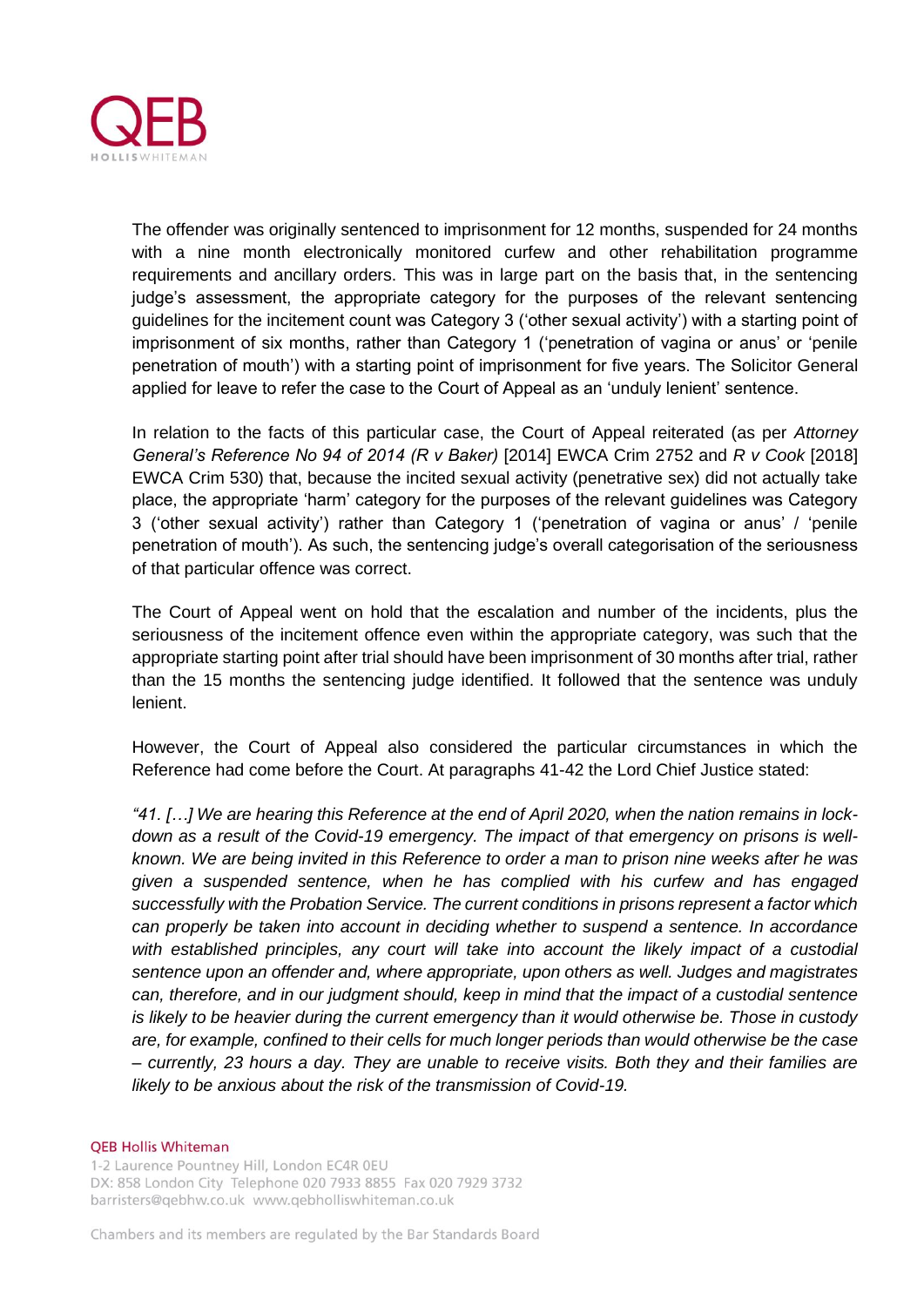

The offender was originally sentenced to imprisonment for 12 months, suspended for 24 months with a nine month electronically monitored curfew and other rehabilitation programme requirements and ancillary orders. This was in large part on the basis that, in the sentencing judge's assessment, the appropriate category for the purposes of the relevant sentencing guidelines for the incitement count was Category 3 ('other sexual activity') with a starting point of imprisonment of six months, rather than Category 1 ('penetration of vagina or anus' or 'penile penetration of mouth') with a starting point of imprisonment for five years. The Solicitor General applied for leave to refer the case to the Court of Appeal as an 'unduly lenient' sentence.

In relation to the facts of this particular case, the Court of Appeal reiterated (as per *Attorney General's Reference No 94 of 2014 (R v Baker)* [2014] EWCA Crim 2752 and *R v Cook* [2018] EWCA Crim 530) that, because the incited sexual activity (penetrative sex) did not actually take place, the appropriate 'harm' category for the purposes of the relevant guidelines was Category 3 ('other sexual activity') rather than Category 1 ('penetration of vagina or anus' / 'penile penetration of mouth'). As such, the sentencing judge's overall categorisation of the seriousness of that particular offence was correct.

The Court of Appeal went on hold that the escalation and number of the incidents, plus the seriousness of the incitement offence even within the appropriate category, was such that the appropriate starting point after trial should have been imprisonment of 30 months after trial, rather than the 15 months the sentencing judge identified. It followed that the sentence was unduly lenient.

However, the Court of Appeal also considered the particular circumstances in which the Reference had come before the Court. At paragraphs 41-42 the Lord Chief Justice stated:

*"41. […] We are hearing this Reference at the end of April 2020, when the nation remains in lockdown as a result of the Covid-19 emergency. The impact of that emergency on prisons is wellknown. We are being invited in this Reference to order a man to prison nine weeks after he was given a suspended sentence, when he has complied with his curfew and has engaged successfully with the Probation Service. The current conditions in prisons represent a factor which can properly be taken into account in deciding whether to suspend a sentence. In accordance with established principles, any court will take into account the likely impact of a custodial sentence upon an offender and, where appropriate, upon others as well. Judges and magistrates can, therefore, and in our judgment should, keep in mind that the impact of a custodial sentence is likely to be heavier during the current emergency than it would otherwise be. Those in custody are, for example, confined to their cells for much longer periods than would otherwise be the case – currently, 23 hours a day. They are unable to receive visits. Both they and their families are likely to be anxious about the risk of the transmission of Covid-19.* 

#### **QEB Hollis Whiteman**

1-2 Laurence Pountney Hill, London EC4R 0EU DX: 858 London City Telephone 020 7933 8855 Fax 020 7929 3732 barristers@qebhw.co.uk www.qebholliswhiteman.co.uk

Chambers and its members are regulated by the Bar Standards Board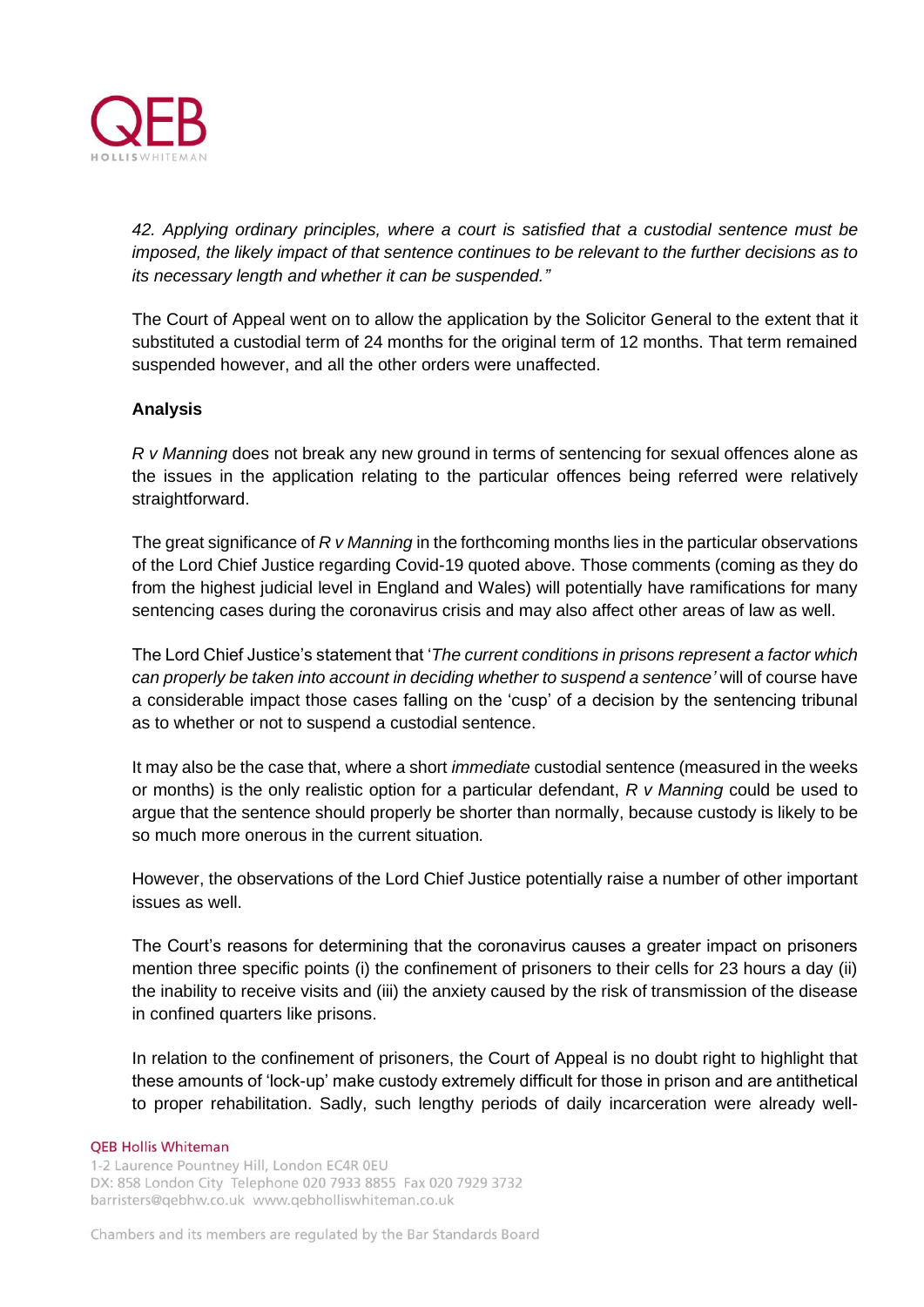

*42. Applying ordinary principles, where a court is satisfied that a custodial sentence must be imposed, the likely impact of that sentence continues to be relevant to the further decisions as to its necessary length and whether it can be suspended."*

The Court of Appeal went on to allow the application by the Solicitor General to the extent that it substituted a custodial term of 24 months for the original term of 12 months. That term remained suspended however, and all the other orders were unaffected.

## **Analysis**

*R v Manning* does not break any new ground in terms of sentencing for sexual offences alone as the issues in the application relating to the particular offences being referred were relatively straightforward.

The great significance of *R v Manning* in the forthcoming months lies in the particular observations of the Lord Chief Justice regarding Covid-19 quoted above. Those comments (coming as they do from the highest judicial level in England and Wales) will potentially have ramifications for many sentencing cases during the coronavirus crisis and may also affect other areas of law as well.

The Lord Chief Justice's statement that '*The current conditions in prisons represent a factor which can properly be taken into account in deciding whether to suspend a sentence'* will of course have a considerable impact those cases falling on the 'cusp' of a decision by the sentencing tribunal as to whether or not to suspend a custodial sentence.

It may also be the case that, where a short *immediate* custodial sentence (measured in the weeks or months) is the only realistic option for a particular defendant, *R v Manning* could be used to argue that the sentence should properly be shorter than normally, because custody is likely to be so much more onerous in the current situation*.*

However, the observations of the Lord Chief Justice potentially raise a number of other important issues as well.

The Court's reasons for determining that the coronavirus causes a greater impact on prisoners mention three specific points (i) the confinement of prisoners to their cells for 23 hours a day (ii) the inability to receive visits and (iii) the anxiety caused by the risk of transmission of the disease in confined quarters like prisons.

In relation to the confinement of prisoners, the Court of Appeal is no doubt right to highlight that these amounts of 'lock-up' make custody extremely difficult for those in prison and are antithetical to proper rehabilitation. Sadly, such lengthy periods of daily incarceration were already well-

### **QEB Hollis Whiteman**

1-2 Laurence Pountney Hill, London EC4R 0EU DX: 858 London City Telephone 020 7933 8855 Fax 020 7929 3732 barristers@qebhw.co.uk www.qebholliswhiteman.co.uk

Chambers and its members are regulated by the Bar Standards Board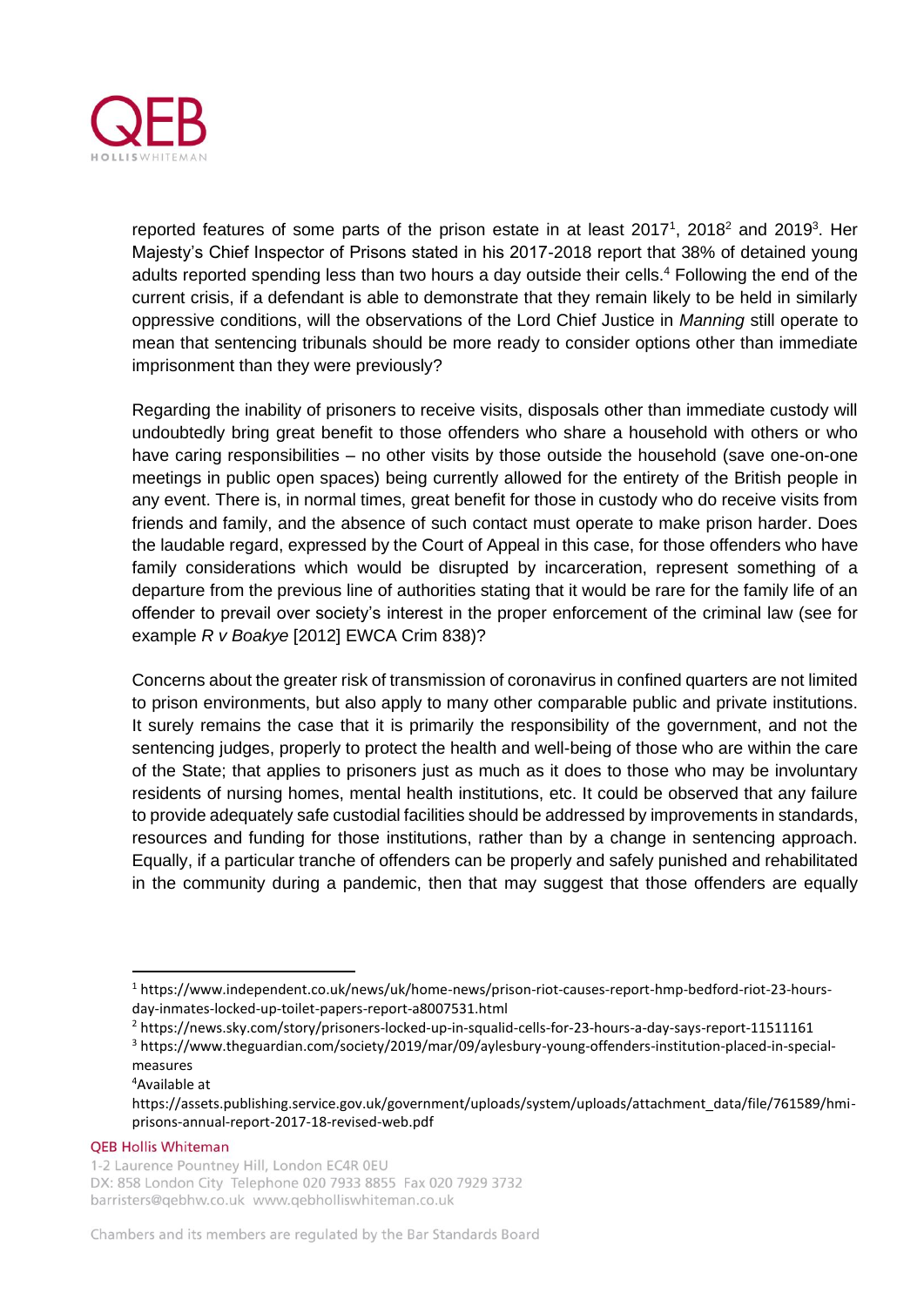

reported features of some parts of the prison estate in at least  $2017<sup>1</sup>$ ,  $2018<sup>2</sup>$  and  $2019<sup>3</sup>$ . Her Majesty's Chief Inspector of Prisons stated in his 2017-2018 report that 38% of detained young adults reported spending less than two hours a day outside their cells.<sup>4</sup> Following the end of the current crisis, if a defendant is able to demonstrate that they remain likely to be held in similarly oppressive conditions, will the observations of the Lord Chief Justice in *Manning* still operate to mean that sentencing tribunals should be more ready to consider options other than immediate imprisonment than they were previously?

Regarding the inability of prisoners to receive visits, disposals other than immediate custody will undoubtedly bring great benefit to those offenders who share a household with others or who have caring responsibilities – no other visits by those outside the household (save one-on-one meetings in public open spaces) being currently allowed for the entirety of the British people in any event. There is, in normal times, great benefit for those in custody who do receive visits from friends and family, and the absence of such contact must operate to make prison harder. Does the laudable regard, expressed by the Court of Appeal in this case, for those offenders who have family considerations which would be disrupted by incarceration, represent something of a departure from the previous line of authorities stating that it would be rare for the family life of an offender to prevail over society's interest in the proper enforcement of the criminal law (see for example *R v Boakye* [2012] EWCA Crim 838)?

Concerns about the greater risk of transmission of coronavirus in confined quarters are not limited to prison environments, but also apply to many other comparable public and private institutions. It surely remains the case that it is primarily the responsibility of the government, and not the sentencing judges, properly to protect the health and well-being of those who are within the care of the State; that applies to prisoners just as much as it does to those who may be involuntary residents of nursing homes, mental health institutions, etc. It could be observed that any failure to provide adequately safe custodial facilities should be addressed by improvements in standards, resources and funding for those institutions, rather than by a change in sentencing approach. Equally, if a particular tranche of offenders can be properly and safely punished and rehabilitated in the community during a pandemic, then that may suggest that those offenders are equally

**QEB Hollis Whiteman** 

<sup>1</sup> https://www.independent.co.uk/news/uk/home-news/prison-riot-causes-report-hmp-bedford-riot-23-hoursday-inmates-locked-up-toilet-papers-report-a8007531.html

<sup>2</sup> https://news.sky.com/story/prisoners-locked-up-in-squalid-cells-for-23-hours-a-day-says-report-11511161

<sup>3</sup> https://www.theguardian.com/society/2019/mar/09/aylesbury-young-offenders-institution-placed-in-specialmeasures

<sup>4</sup>Available at

https://assets.publishing.service.gov.uk/government/uploads/system/uploads/attachment\_data/file/761589/hmiprisons-annual-report-2017-18-revised-web.pdf

<sup>1-2</sup> Laurence Pountney Hill, London EC4R 0EU DX: 858 London City Telephone 020 7933 8855 Fax 020 7929 3732 barristers@qebhw.co.uk www.qebholliswhiteman.co.uk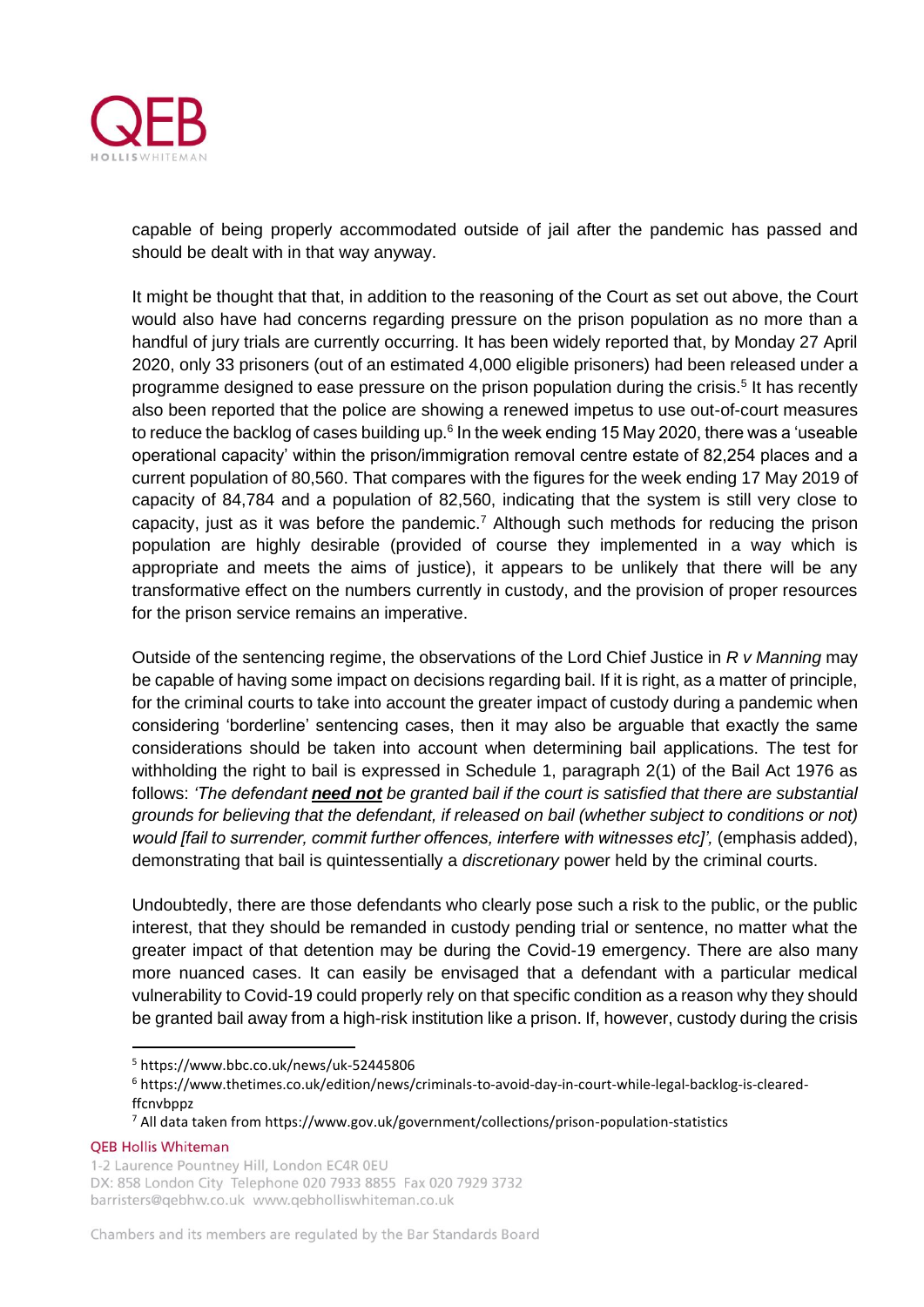

capable of being properly accommodated outside of jail after the pandemic has passed and should be dealt with in that way anyway.

It might be thought that that, in addition to the reasoning of the Court as set out above, the Court would also have had concerns regarding pressure on the prison population as no more than a handful of jury trials are currently occurring. It has been widely reported that, by Monday 27 April 2020, only 33 prisoners (out of an estimated 4,000 eligible prisoners) had been released under a programme designed to ease pressure on the prison population during the crisis.<sup>5</sup> It has recently also been reported that the police are showing a renewed impetus to use out-of-court measures to reduce the backlog of cases building up.<sup>6</sup> In the week ending 15 May 2020, there was a 'useable operational capacity' within the prison/immigration removal centre estate of 82,254 places and a current population of 80,560. That compares with the figures for the week ending 17 May 2019 of capacity of 84,784 and a population of 82,560, indicating that the system is still very close to capacity, just as it was before the pandemic.<sup>7</sup> Although such methods for reducing the prison population are highly desirable (provided of course they implemented in a way which is appropriate and meets the aims of justice), it appears to be unlikely that there will be any transformative effect on the numbers currently in custody, and the provision of proper resources for the prison service remains an imperative.

Outside of the sentencing regime, the observations of the Lord Chief Justice in *R v Manning* may be capable of having some impact on decisions regarding bail. If it is right, as a matter of principle, for the criminal courts to take into account the greater impact of custody during a pandemic when considering 'borderline' sentencing cases, then it may also be arguable that exactly the same considerations should be taken into account when determining bail applications. The test for withholding the right to bail is expressed in Schedule 1, paragraph 2(1) of the Bail Act 1976 as follows: *'The defendant need not be granted bail if the court is satisfied that there are substantial grounds for believing that the defendant, if released on bail (whether subject to conditions or not)*  would *[fail to surrender, commit further offences, interfere with witnesses etc]', (emphasis added),* demonstrating that bail is quintessentially a *discretionary* power held by the criminal courts.

Undoubtedly, there are those defendants who clearly pose such a risk to the public, or the public interest, that they should be remanded in custody pending trial or sentence, no matter what the greater impact of that detention may be during the Covid-19 emergency. There are also many more nuanced cases. It can easily be envisaged that a defendant with a particular medical vulnerability to Covid-19 could properly rely on that specific condition as a reason why they should be granted bail away from a high-risk institution like a prison. If, however, custody during the crisis

**QEB Hollis Whiteman** 

<sup>5</sup> https://www.bbc.co.uk/news/uk-52445806

<sup>6</sup> https://www.thetimes.co.uk/edition/news/criminals-to-avoid-day-in-court-while-legal-backlog-is-clearedffcnvbppz

<sup>7</sup> All data taken from https://www.gov.uk/government/collections/prison-population-statistics

<sup>1-2</sup> Laurence Pountney Hill, London EC4R 0EU DX: 858 London City Telephone 020 7933 8855 Fax 020 7929 3732 barristers@gebhw.co.uk www.gebholliswhiteman.co.uk